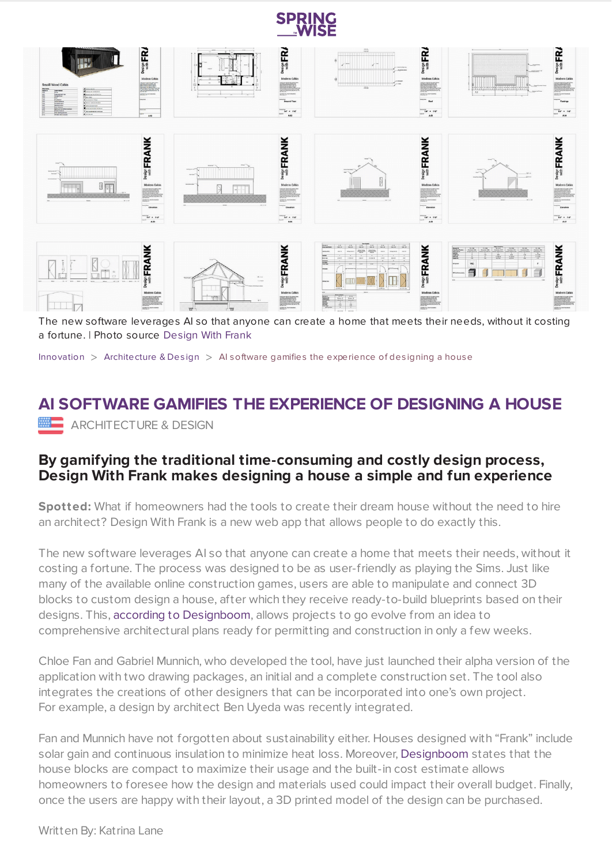



The new software leverages AI so that anyone can create a home that meets their needs, without it costing a fortune. | Photo source [Design](https://designwithfrank.com/collections/barn-series/products/mini-one-bedroom-house) With Frank

[Innovation](https://www.springwise.com/search?type=innovation)  $>$  [Architecture](https://www.springwise.com/search?type=innovation§or=architecture-design) & Design  $>$  AI software gamifies the experience of designing a house

## **AI SOFTWARE GAMIFIES THE EXPERIENCE OF DESIGNING A HOUSE MEDIARCHITECTURE & DESIGN**

## **By gamifying the traditional time-consuming and costly design process, Design With Frank makes designing a house a simple and fun experience**

**Spotted:** What if homeowners had the tools to create their dream house without the need to hire an architect? Design With Frank is a new web app that allows people to do exactly this.

The new software leverages AI so that anyone can create a home that meets their needs, without it costing a fortune. The process was designed to be as user-friendly as playing the Sims. Just like many of the available online construction games, users are able to manipulate and connect 3D blocks to custom design a house, after which they receive ready-to-build blueprints based on their designs. This, according to [Designboom,](https://www.designboom.com/technology/frank-people-design-sustainable-homes-blocks-gabriel-munnich-chloe-fan-08-06-2021/) allows projects to go evolve from an idea to comprehensive architectural plans ready for permitting and construction in only a few weeks.

Chloe Fan and Gabriel Munnich, who developed the tool, have just launched their alpha version of the application with two drawing packages, an initial and a complete construction set. The tool also integrates the creations of other designers that can be incorporated into one's own project. For example, a design by architect Ben Uyeda was recently integrated.

Fan and Munnich have not forgotten about sustainability either. Houses designed with "Frank" include solar gain and continuous insulation to minimize heat loss. Moreover, [Designboom](https://www.designboom.com/technology/frank-people-design-sustainable-homes-blocks-gabriel-munnich-chloe-fan-08-06-2021/) states that the house blocks are compact to maximize their usage and the built-in cost estimate allows homeowners to foresee how the design and materials used could impact their overall budget. Finally, once the users are happy with their layout, a 3D printed model of the design can be purchased.